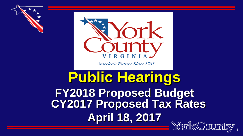



America's Future Since 1781

#### **Public Hearings FY2018 Proposed Budget CY2017 Proposed Tax Rates April 18, 2017**

1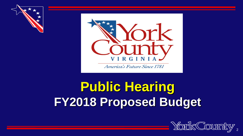



#### **Public Hearing FY2018 Proposed Budget**

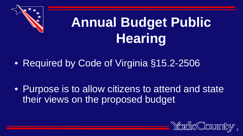

### **Annual Budget Public Hearing**

• Required by Code of Virginia §15.2-2506

• Purpose is to allow citizens to attend and state their views on the proposed budget

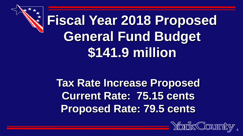# **Fiscal Year 2018 Proposed General Fund Budget \$141.9 million**

**Tax Rate Increase Proposed Current Rate: 75.15 cents Proposed Rate: 79.5 cents**

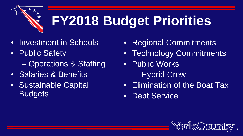## **FY2018 Budget Priorities**

- Investment in Schools
- Public Safety
	- Operations & Staffing
- Salaries & Benefits
- Sustainable Capital **Budgets**
- Regional Commitments
- Technology Commitments
- Public Works
	- Hybrid Crew
- Elimination of the Boat Tax
- Debt Service

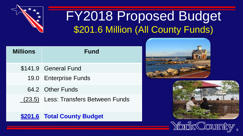

#### FY2018 Proposed Budget \$201.6 Million (All County Funds)

| <b>Millions</b> | <b>Fund</b>                          |
|-----------------|--------------------------------------|
|                 | \$141.9 General Fund                 |
|                 | 19.0 Enterprise Funds                |
|                 | 64.2 Other Funds                     |
|                 | (23.5) Less: Transfers Between Funds |
|                 | \$201.6 Total County Budget          |





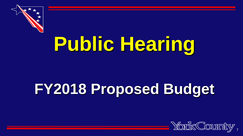

# **Public Hearing**

## **FY2018 Proposed Budget**

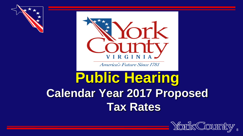



America's Future Since 1781

#### **Public Hearing Calendar Year 2017 Proposed Tax Rates**

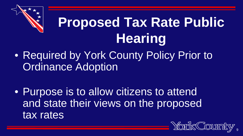

### **Proposed Tax Rate Public Hearing**

• Required by York County Policy Prior to Ordinance Adoption

• Purpose is to allow citizens to attend and state their views on the proposed tax rates

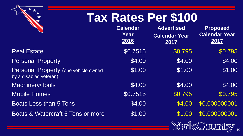

#### **Tax Rates Per \$100**

|                                                                        | <b>Calendar</b><br>Year<br>2016 | <b>Advertised</b><br><b>Calendar Year</b><br>2017 | <b>Proposed</b><br><b>Calendar Year</b><br>2017 |
|------------------------------------------------------------------------|---------------------------------|---------------------------------------------------|-------------------------------------------------|
| <b>Real Estate</b>                                                     | \$0.7515                        | \$0.795                                           | \$0.795                                         |
| <b>Personal Property</b>                                               | \$4.00                          | \$4.00                                            | \$4.00                                          |
| <b>Personal Property (one vehicle owned)</b><br>by a disabled veteran) | \$1.00                          | \$1.00                                            | \$1.00                                          |
| Machinery/Tools                                                        | \$4.00                          | \$4.00                                            | \$4.00                                          |
| <b>Mobile Homes</b>                                                    | \$0.7515                        | \$0.795                                           | \$0.795                                         |
| Boats Less than 5 Tons                                                 | \$4.00                          | \$4.00                                            | \$0.000000001                                   |
| Boats & Watercraft 5 Tons or more                                      | \$1.00                          | \$1.00                                            | \$0.000000001                                   |
|                                                                        |                                 |                                                   | Varile Counsire                                 |

**TOMA ANGLEY**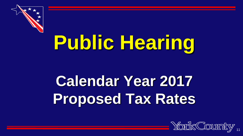

# **Public Hearing**

## **Calendar Year 2017 Proposed Tax Rates**

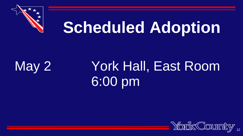

# **Scheduled Adoption**

### May 2 York Hall, East Room 6:00 pm